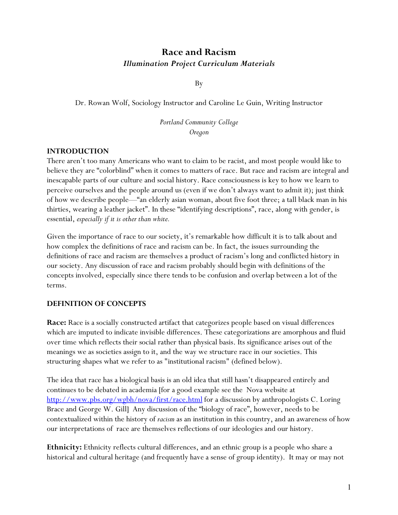# **Race and Racism** *Illumination Project Curriculum Materials*

By

Dr. Rowan Wolf, Sociology Instructor and Caroline Le Guin, Writing Instructor

*Portland Community College Oregon*

#### **INTRODUCTION**

There aren't too many Americans who want to claim to be racist, and most people would like to believe they are "colorblind" when it comes to matters of race. But race and racism are integral and inescapable parts of our culture and social history. Race consciousness is key to how we learn to perceive ourselves and the people around us (even if we don't always want to admit it); just think of how we describe people—"an elderly asian woman, about five foot three; a tall black man in his thirties, wearing a leather jacket". In these "identifying descriptions", race, along with gender, is essential, *especially if it is other than white.*

Given the importance of race to our society, it's remarkable how difficult it is to talk about and how complex the definitions of race and racism can be. In fact, the issues surrounding the definitions of race and racism are themselves a product of racism's long and conflicted history in our society. Any discussion of race and racism probably should begin with definitions of the concepts involved, especially since there tends to be confusion and overlap between a lot of the terms.

#### **DEFINITION OF CONCEPTS**

**Race:** Race is a socially constructed artifact that categorizes people based on visual differences which are imputed to indicate invisible differences. These categorizations are amorphous and fluid over time which reflects their social rather than physical basis. Its significance arises out of the meanings we as societies assign to it, and the way we structure race in our societies. This structuring shapes what we refer to as "institutional racism" (defined below).

The idea that race has a biological basis is an old idea that still hasn't disappeared entirely and continues to be debated in academia [for a good example see the Nova website at <http://www.pbs.org/wgbh/nova/first/race.html> for a discussion by anthropologists C. Loring Brace and George W. Gill] Any discussion of the "biology of race", however, needs to be contextualized within the history of *racism* as an institution in this country, and an awareness of how our interpretations of race are themselves reflections of our ideologies and our history.

**Ethnicity:** Ethnicity reflects cultural differences, and an ethnic group is a people who share a historical and cultural heritage (and frequently have a sense of group identity). It may or may not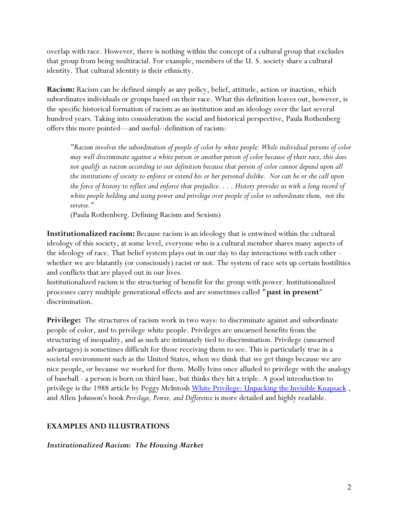overlap with race. However, there is nothing within the concept of a cultural group that excludes that group from being multiracial. For example, members of the U. S. society share a cultural identity. That cultural identity is their ethnicity.

**Racism:** Racism can be defined simply as any policy, belief, attitude, action or inaction, which subordinates individuals or groups based on their race. What this definition leaves out, however, is the specific historical formation of racism as an institution and an ideology over the last several hundred years. Taking into consideration the social and historical perspective, Paula Rothenberg offers this more pointed—and useful--definition of racism:

*"Racism involves the subordination of people of color by white people. While individual persons of color may well discriminate against a white person or another person of color because of their race, this does not qualify as racism according to our definition because that person of color cannot depend upon all the institutions of society to enforce or extend his or her personal dislike. Nor can he or she call upon the force of history to reflect and enforce that prejudice. . . . History provides us with a long record of white people holding and using power and privilege over people of color to subordinate them, not the reverse."*

(Paula Rothenberg. Defining Racism and Sexism)

**Institutionalized racism:** Because racism is an ideology that is entwined within the cultural ideology of this society, at some level, everyone who is a cultural member shares many aspects of the ideology of race. That belief system plays out in our day to day interactions with each other - whether we are blatantly (or consciously) racist or not. The system of race sets up certain hostilities and conflicts that are played out in our lives.

Institutionalized racism is the structuring of benefit for the group with power. Institutionalized processes carry multiple generational effects and are sometimes called **"past in present**" discrimination.

**Privilege:** The structures of racism work in two ways: to discriminate against and subordinate people of color, and to privilege white people. Privileges are unearned benefits from the structuring of inequality, and as such are intimately tied to discrimination. Privilege (unearned advantages) is sometimes difficult for those receiving them to see. This is particularly true in a societal environment such as the United States, when we think that we get things because we are nice people, or because we worked for them. Molly Ivins once alluded to privilege with the analogy of baseball - a person is born on third base, but thinks they hit a triple. A good introduction to privilege is the 1988 article by Peggy McIntosh [White Privilege: Unpacking the Invisible Knapsack](http://seamonkey.ed.asu.edu/~mcisaac/emc598ge/Unpacking.html), and Allen Johnson's book *Privilege, Power, and Difference* is more detailed and highly readable.

## **EXAMPLES AND ILLUSTRATIONS**

## *Institutionalized Racism: The Housing Market*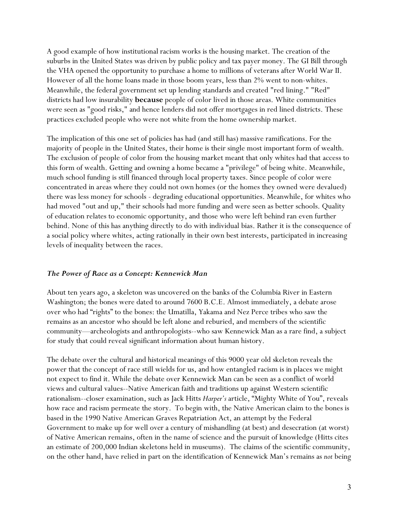A good example of how institutional racism works is the housing market. The creation of the suburbs in the United States was driven by public policy and tax payer money. The GI Bill through the VHA opened the opportunity to purchase a home to millions of veterans after World War II. However of all the home loans made in those boom years, less than 2% went to non-whites. Meanwhile, the federal government set up lending standards and created "red lining." "Red" districts had low insurability **because** people of color lived in those areas. White communities were seen as "good risks," and hence lenders did not offer mortgages in red lined districts. These practices excluded people who were not white from the home ownership market.

The implication of this one set of policies has had (and still has) massive ramifications. For the majority of people in the United States, their home is their single most important form of wealth. The exclusion of people of color from the housing market meant that only whites had that access to this form of wealth. Getting and owning a home became a "privilege" of being white. Meanwhile, much school funding is still financed through local property taxes. Since people of color were concentrated in areas where they could not own homes (or the homes they owned were devalued) there was less money for schools - degrading educational opportunities. Meanwhile, for whites who had moved "out and up," their schools had more funding and were seen as better schools. Quality of education relates to economic opportunity, and those who were left behind ran even further behind. None of this has anything directly to do with individual bias. Rather it is the consequence of a social policy where whites, acting rationally in their own best interests, participated in increasing levels of inequality between the races.

#### *The Power of Race as a Concept: Kennewick Man*

About ten years ago, a skeleton was uncovered on the banks of the Columbia River in Eastern Washington; the bones were dated to around 7600 B.C.E. Almost immediately, a debate arose over who had "rights" to the bones: the Umatilla, Yakama and Nez Perce tribes who saw the remains as an ancestor who should be left alone and reburied, and members of the scientific community—archeologists and anthropologists--who saw Kennewick Man as a rare find, a subject for study that could reveal significant information about human history.

The debate over the cultural and historical meanings of this 9000 year old skeleton reveals the power that the concept of race still wields for us, and how entangled racism is in places we might not expect to find it. While the debate over Kennewick Man can be seen as a conflict of world views and cultural values--Native American faith and traditions up against Western scientific rationalism--closer examination, such as Jack Hitts *Harper's* article, "Mighty White of You", reveals how race and racism permeate the story. To begin with, the Native American claim to the bones is based in the 1990 Native American Graves Repatriation Act, an attempt by the Federal Government to make up for well over a century of mishandling (at best) and desecration (at worst) of Native American remains, often in the name of science and the pursuit of knowledge (Hitts cites an estimate of 200,000 Indian skeletons held in museums). The claims of the scientific community, on the other hand, have relied in part on the identification of Kennewick Man's remains as *not* being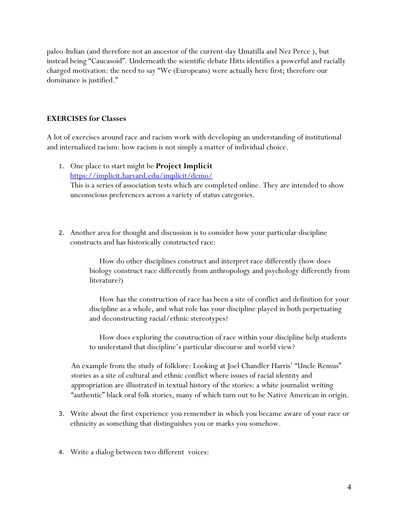paleo-Indian (and therefore not an ancestor of the current-day Umatilla and Nez Perce ), but instead being "Caucasoid". Underneath the scientific debate Hitts identifies a powerful and racially charged motivation: the need to say "We (Europeans) were actually here first; therefore our dominance is justified."

#### **EXERCISES for Classes**

A lot of exercises around race and racism work with developing an understanding of institutional and internalized racism: how racism is not simply a matter of individual choice.

- 1. One place to start might be **Project Implicit** <https://implicit.harvard.edu/implicit/demo/> This is a series of association tests which are completed online. They are intended to show unconscious preferences across a variety of status categories.
- 2. Another area for thought and discussion is to consider how your particular discipline constructs and has historically constructed race:

 How do other disciplines construct and interpret race differently (how does biology construct race differently from anthropology and psychology differently from literature?)

 How has the construction of race has been a site of conflict and definition for your discipline as a whole, and what role has your discipline played in both perpetuating and deconstructing racial/ethnic stereotypes?

 How does exploring the construction of race within your discipline help students to understand that discipline's particular discourse and world view?

An example from the study of folklore: Looking at Joel Chandler Harris' "Uncle Remus" stories as a site of cultural and ethnic conflict where issues of racial identity and appropriation are illustrated in textual history of the stories: a white journalist writing "authentic" black oral folk stories, many of which turn out to be Native American in origin.

- 3. Write about the first experience you remember in which you became aware of your race or ethnicity as something that distinguishes you or marks you somehow.
- 4. Write a dialog between two different voices: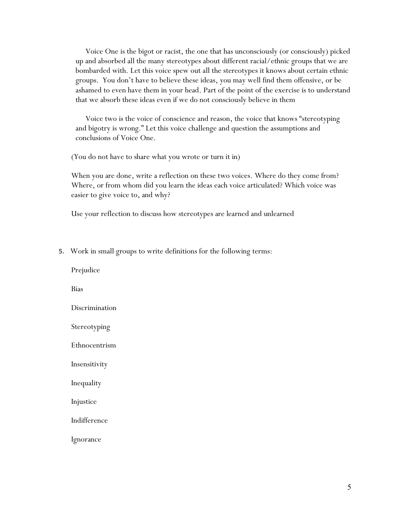Voice One is the bigot or racist, the one that has unconsciously (or consciously) picked up and absorbed all the many stereotypes about different racial/ethnic groups that we are bombarded with. Let this voice spew out all the stereotypes it knows about certain ethnic groups. You don't have to believe these ideas, you may well find them offensive, or be ashamed to even have them in your head. Part of the point of the exercise is to understand that we absorb these ideas even if we do not consciously believe in them

 Voice two is the voice of conscience and reason, the voice that knows "stereotyping and bigotry is wrong." Let this voice challenge and question the assumptions and conclusions of Voice One.

(You do not have to share what you wrote or turn it in)

When you are done, write a reflection on these two voices. Where do they come from? Where, or from whom did you learn the ideas each voice articulated? Which voice was easier to give voice to, and why?

Use your reflection to discuss how stereotypes are learned and unlearned

5. Work in small groups to write definitions for the following terms:

Prejudice

Bias

Discrimination

Stereotyping

Ethnocentrism

Insensitivity

Inequality

Injustice

Indifference

Ignorance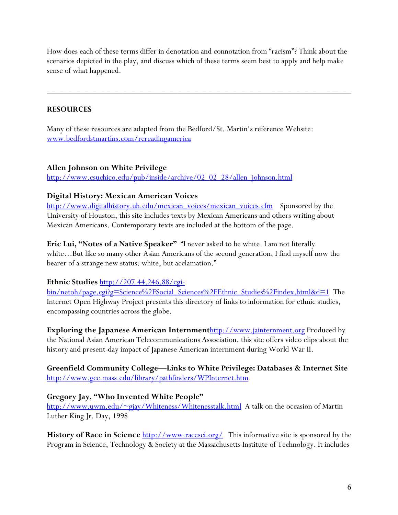How does each of these terms differ in denotation and connotation from "racism"? Think about the scenarios depicted in the play, and discuss which of these terms seem best to apply and help make sense of what happened.

 $\overline{\phantom{a}}$  , and the contribution of the contribution of the contribution of the contribution of the contribution of the contribution of the contribution of the contribution of the contribution of the contribution of the

## **RESOURCES**

Many of these resources are adapted from the Bedford/St. Martin's reference Website: [www.bedfordstmartins.com/rereadingamerica](http://www.bedfordstmartins.com/rereadingamerica)

## **Allen Johnson on White Privilege**

[http://www.csuchico.edu/pub/inside/archive/02\\_02\\_28/allen\\_johnson.html](http://www.csuchico.edu/pub/inside/archive/02_02_28/allen_johnson.html)

## **Digital History: Mexican American Voices**

[http://www.digitalhistory.uh.edu/mexican\\_voices/mexican\\_voices.cfm](http://www.digitalhistory.uh.edu/mexican_voices/mexican_voices.cfm) Sponsored by the University of Houston, this site includes texts by Mexican Americans and others writing about Mexican Americans. Contemporary texts are included at the bottom of the page.

**Eric Lui, "Notes of a Native Speaker"** "I never asked to be white. I am not literally white…But like so many other Asian Americans of the second generation, I find myself now the bearer of a strange new status: white, but acclamation."

**Ethnic Studies** http://207.44.246.88/cgi-<br>bin/netoh/page.cgi?g=Science%2FSocial\_Sciences%2FEthnic\_Studies%2Findex.html&d=1 The Internet Open Highway Project presents this directory of links to information for ethnic studies, encompassing countries across the globe.

**Exploring the Japanese American Internment**[http://www.jainternment.org](http://bcs.bedfordstmartins.com/hrel/toplinks/topicResults.asp?topic=Asian%20Americans&page=&title=Rereading%20America,%20Gary%20Colombo,%20Robert%20Cullen,%20Bonnie%20Lisle%20(6th%20ed.)) Produced by the National Asian American Telecommunications Association, this site offers video clips about the history and present-day impact of Japanese American internment during World War II.

**Greenfield Community College—Links to White Privilege: Databases & Internet Site** <http://www.gcc.mass.edu/library/pathfinders/WPInternet.htm>

## **Gregory Jay, "Who Invented White People"**

<http://www.uwm.edu/~gjay/Whiteness/Whitenesstalk.html> A talk on the occasion of Martin Luther King Jr. Day, 1998

**History of Race in Science** [http://www.racesci.org/](http://bcs.bedfordstmartins.com/hrel/toplinks/ChapterResults.asp?chapter=Ch.+5%3A+Created+Equal%3A+The+Myth+of+the+Melting+Pot&title=Rereading%20America,%20Gary%20Colombo,%20Robert%20Cullen,%20Bonnie%20Lisle%20(6th%20ed.)&page=) This informative site is sponsored by the Program in Science, Technology & Society at the Massachusetts Institute of Technology. It includes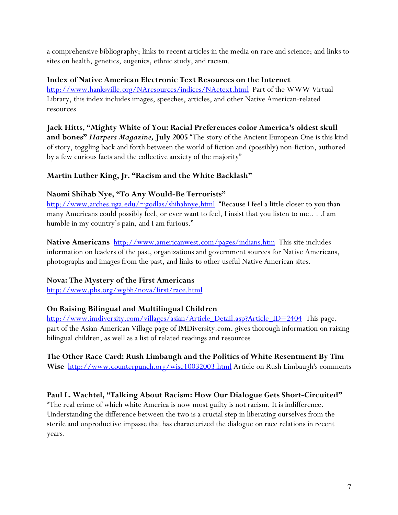a comprehensive bibliography; links to recent articles in the media on race and science; and links to sites on health, genetics, eugenics, ethnic study, and racism.

## **Index of Native American Electronic Text Resources on the Internet**

[http://www.hanksville.org/NAresources/indices/NAetext.html](http://bcs.bedfordstmartins.com/hrel/toplinks/topicResults.asp?topic=Native%20Americans&page=&title=Rereading%20America,%20Gary%20Colombo,%20Robert%20Cullen,%20Bonnie%20Lisle%20(6th%20ed.)) Part of the WWW Virtual Library, this index includes images, speeches, articles, and other Native American-related resources

**Jack Hitts, "Mighty White of You: Racial Preferences color America's oldest skull and bones"** *Harpers Magazine,* **July 2005** "The story of the Ancient European One is this kind of story, toggling back and forth between the world of fiction and (possibly) non-fiction, authored by a few curious facts and the collective anxiety of the majority"

# **Martin Luther King, Jr. "Racism and the White Backlash"**

## **Naomi Shihab Nye, "To Any Would-Be Terrorists"**

<http://www.arches.uga.edu/~godlas/shihabnye.html> "Because I feel a little closer to you than many Americans could possibly feel, or ever want to feel, I insist that you listen to me.. . .I am humble in my country's pain, and I am furious."

**Native Americans** [http://www.americanwest.com/pages/indians.htm](http://bcs.bedfordstmartins.com/hrel/toplinks/topicResults.asp?topic=Native%20Americans&page=&title=Rereading%20America,%20Gary%20Colombo,%20Robert%20Cullen,%20Bonnie%20Lisle%20(6th%20ed.)) This site includes information on leaders of the past, organizations and government sources for Native Americans, photographs and images from the past, and links to other useful Native American sites.

## **Nova: The Mystery of the First Americans**

<http://www.pbs.org/wgbh/nova/first/race.html>

# **On Raising Bilingual and Multilingual Children**

[http://www.imdiversity.com/villages/asian/Article\\_Detail.asp?Article\\_ID=2404](http://bcs.bedfordstmartins.com/hrel/toplinks/topicResults.asp?topic=Asian%20Americans&page=&title=Rereading%20America,%20Gary%20Colombo,%20Robert%20Cullen,%20Bonnie%20Lisle%20(6th%20ed.)) This page, part of the Asian-American Village page of IMDiversity.com, gives thorough information on raising bilingual children, as well as a list of related readings and resources

# **The Other Race Card: Rush Limbaugh and the Politics of White Resentment By Tim**

Wise <http://www.counterpunch.org/wise10032003.html> Article on Rush Limbaugh's comments

## **Paul L. Wachtel, "Talking About Racism: How Our Dialogue Gets Short-Circuited"**

"The real crime of which white America is now most guilty is not racism. It is indifference. Understanding the difference between the two is a crucial step in liberating ourselves from the sterile and unproductive impasse that has characterized the dialogue on race relations in recent years.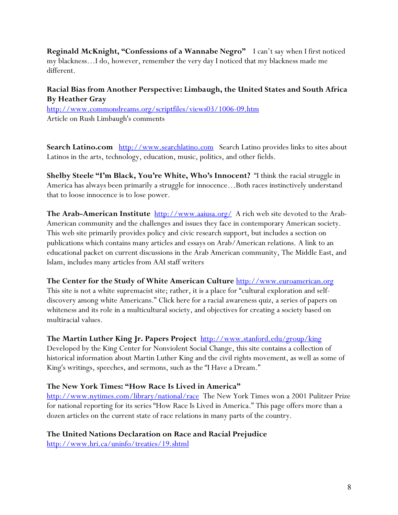**Reginald McKnight, "Confessions of a Wannabe Negro"** I can't say when I first noticed my blackness…I do, however, remember the very day I noticed that my blackness made me different.

# **Racial Bias from Another Perspective: Limbaugh, the United States and South Africa By Heather Gray**

<http://www.commondreams.org/scriptfiles/views03/1006-09.htm> Article on Rush Limbaugh's comments

Search Latino.com [http://www.searchlatino.com](http://bcs.bedfordstmartins.com/hrel/toplinks/topicResults.asp?topic=Mexican/Latin%20Americans&page=&title=Rereading%20America,%20Gary%20Colombo,%20Robert%20Cullen,%20Bonnie%20Lisle%20(6th%20ed.)) Search Latino provides links to sites about Latinos in the arts, technology, education, music, politics, and other fields.

**Shelby Steele "I'm Black, You're White, Who's Innocent?** "I think the racial struggle in America has always been primarily a struggle for innocence…Both races instinctively understand that to loose innocence is to lose power.

The Arab-American Institute [http://www.aaiusa.org/](http://bcs.bedfordstmartins.com/hrel/toplinks/searchResults.asp?page=&title=Rereading%20America,%20Gary%20Colombo,%20Robert%20Cullen,%20Bonnie%20Lisle%20(6th%20ed.)) A rich web site devoted to the Arab-American community and the challenges and issues they face in contemporary American society. This web site primarily provides policy and civic research support, but includes a section on publications which contains many articles and essays on Arab/American relations. A link to an educational packet on current discussions in the Arab American community, The Middle East, and Islam, includes many articles from AAI staff writers

# **The Center for the Study of White American Culture** [http://www.euroamerican.org](http://bcs.bedfordstmartins.com/hrel/toplinks/ChapterResults.asp?chapter=Ch.+5%3A+Created+Equal%3A+The+Myth+of+the+Melting+Pot&title=Rereading%20America,%20Gary%20Colombo,%20Robert%20Cullen,%20Bonnie%20Lisle%20(6th%20ed.)&page=)

This site is not a white supremacist site; rather, it is a place for "cultural exploration and selfdiscovery among white Americans." Click here for a racial awareness quiz, a series of papers on whiteness and its role in a multicultural society, and objectives for creating a society based on multiracial values.

# **The Martin Luther King Jr. Papers Project** [http://www.stanford.edu/group/king](http://bcs.bedfordstmartins.com/hrel/toplinks/topicResults.asp?topic=African%20Americans&page=&title=Rereading%20America,%20Gary%20Colombo,%20Robert%20Cullen,%20Bonnie%20Lisle%20(6th%20ed.))

Developed by the King Center for Nonviolent Social Change, this site contains a collection of historical information about Martin Luther King and the civil rights movement, as well as some of King's writings, speeches, and sermons, such as the "I Have a Dream."

## **The New York Times: "How Race Is Lived in America"**

<http://www.nytimes.com/library/national/race> The New York Times won a 2001 Pulitzer Prize for national reporting for its series "How Race Is Lived in America." This page offers more than a dozen articles on the current state of race relations in many parts of the country.

# **The United Nations Declaration on Race and Racial Prejudice**

[http://www.hri.ca/uninfo/treaties/19.shtml](http://bcs.bedfordstmartins.com/hrel/toplinks/topicResults.asp?topic=Race&page=&title=Rereading%20America,%20Gary%20Colombo,%20Robert%20Cullen,%20Bonnie%20Lisle%20(6th%20ed.))